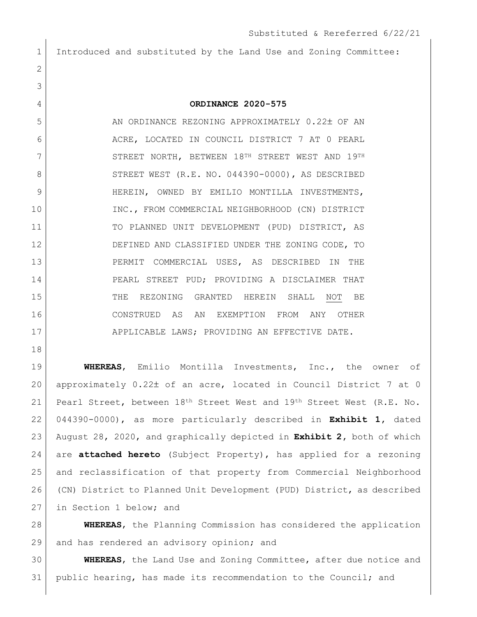Introduced and substituted by the Land Use and Zoning Committee:

## **ORDINANCE 2020-575**

5 AN ORDINANCE REZONING APPROXIMATELY 0.22± OF AN 6 ACRE, LOCATED IN COUNCIL DISTRICT 7 AT 0 PEARL 7 STREET NORTH, BETWEEN 18TH STREET WEST AND 19TH 8 STREET WEST (R.E. NO. 044390-0000), AS DESCRIBED 9 HEREIN, OWNED BY EMILIO MONTILLA INVESTMENTS, 10 INC., FROM COMMERCIAL NEIGHBORHOOD (CN) DISTRICT TO PLANNED UNIT DEVELOPMENT (PUD) DISTRICT, AS 12 DEFINED AND CLASSIFIED UNDER THE ZONING CODE, TO PERMIT COMMERCIAL USES, AS DESCRIBED IN THE 14 PEARL STREET PUD; PROVIDING A DISCLAIMER THAT THE REZONING GRANTED HEREIN SHALL NOT BE CONSTRUED AS AN EXEMPTION FROM ANY OTHER 17 APPLICABLE LAWS; PROVIDING AN EFFECTIVE DATE.

 **WHEREAS**, Emilio Montilla Investments, Inc., the owner of approximately 0.22 of an acre, located in Council District 7 at 0 Pearl Street, between 18th Street West and 19th Street West (R.E. No. 044390-0000), as more particularly described in **Exhibit 1,** dated August 28, 2020, and graphically depicted in **Exhibit 2,** both of which are **attached hereto** (Subject Property), has applied for a rezoning and reclassification of that property from Commercial Neighborhood (CN) District to Planned Unit Development (PUD) District, as described 27 in Section 1 below; and

 **WHEREAS**, the Planning Commission has considered the application 29 and has rendered an advisory opinion; and

 **WHEREAS**, the Land Use and Zoning Committee, after due notice and public hearing, has made its recommendation to the Council; and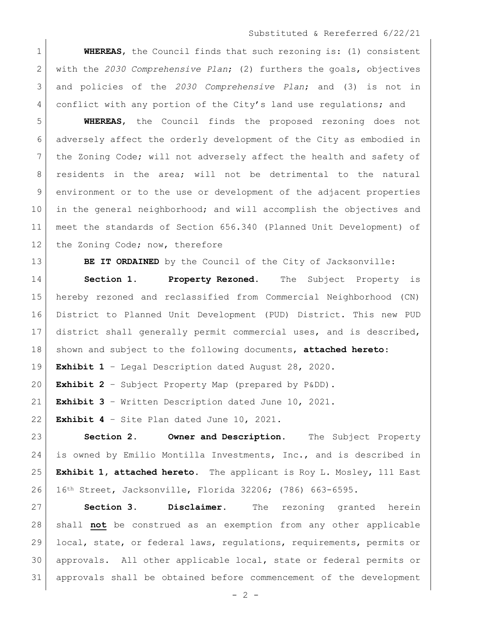## Substituted & Rereferred 6/22/21

**WHEREAS**, the Council finds that such rezoning is: (1) consistent with the *2030 Comprehensive Plan*; (2) furthers the goals, objectives and policies of the *2030 Comprehensive Plan*; and (3) is not in 4 conflict with any portion of the City's land use regulations; and

 **WHEREAS**, the Council finds the proposed rezoning does not adversely affect the orderly development of the City as embodied in the Zoning Code; will not adversely affect the health and safety of 8 | residents in the area; will not be detrimental to the natural environment or to the use or development of the adjacent properties in the general neighborhood; and will accomplish the objectives and meet the standards of Section 656.340 (Planned Unit Development) of 12 the Zoning Code; now, therefore

**BE IT ORDAINED** by the Council of the City of Jacksonville:

 **Section 1. Property Rezoned.** The Subject Property is hereby rezoned and reclassified from Commercial Neighborhood (CN) District to Planned Unit Development (PUD) District. This new PUD district shall generally permit commercial uses, and is described, shown and subject to the following documents, **attached hereto**: **Exhibit 1** – Legal Description dated August 28, 2020.

**Exhibit 2** – Subject Property Map (prepared by P&DD).

**Exhibit 3** – Written Description dated June 10, 2021.

**Exhibit 4** – Site Plan dated June 10, 2021.

 **Section 2. Owner and Description.** The Subject Property is owned by Emilio Montilla Investments, Inc., and is described in **Exhibit 1, attached hereto.** The applicant is Roy L. Mosley, 111 East 16th Street, Jacksonville, Florida 32206; (786) 663-6595.

 **Section 3. Disclaimer.** The rezoning granted herein shall **not** be construed as an exemption from any other applicable local, state, or federal laws, regulations, requirements, permits or approvals. All other applicable local, state or federal permits or approvals shall be obtained before commencement of the development

 $- 2 -$